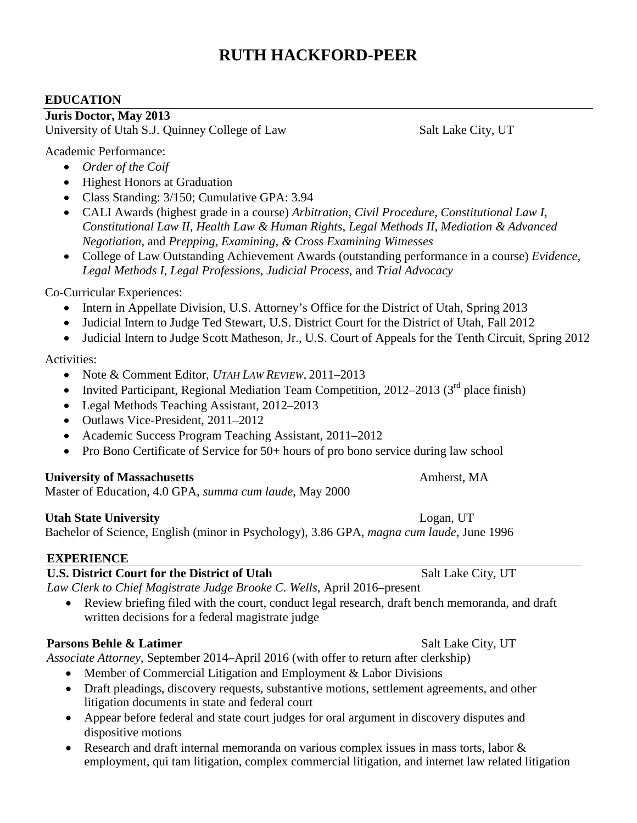# **RUTH HACKFORD-PEER**

### **EDUCATION**

**Juris Doctor, May 2013** 

University of Utah S.J. Quinney College of Law Salt Lake City, UT

Academic Performance:

- *Order of the Coif*
- Highest Honors at Graduation
- Class Standing: 3/150; Cumulative GPA: 3.94
- CALI Awards (highest grade in a course) *Arbitration*, *Civil Procedure*, *Constitutional Law I*, *Constitutional Law II*, *Health Law & Human Rights*, *Legal Methods II*, *Mediation & Advanced Negotiation*, and *Prepping, Examining, & Cross Examining Witnesses*
- College of Law Outstanding Achievement Awards (outstanding performance in a course) *Evidence*, *Legal Methods I*, *Legal Professions*, *Judicial Process*, and *Trial Advocacy*

### Co-Curricular Experiences:

- Intern in Appellate Division, U.S. Attorney's Office for the District of Utah, Spring 2013
- Judicial Intern to Judge Ted Stewart, U.S. District Court for the District of Utah, Fall 2012
- Judicial Intern to Judge Scott Matheson, Jr., U.S. Court of Appeals for the Tenth Circuit, Spring 2012

### Activities:

- Note & Comment Editor, *UTAH LAW REVIEW*, 2011–2013
- Invited Participant, Regional Mediation Team Competition, 2012–2013 ( $3<sup>rd</sup>$  place finish)
- Legal Methods Teaching Assistant, 2012–2013
- Outlaws Vice-President, 2011–2012
- Academic Success Program Teaching Assistant, 2011–2012
- Pro Bono Certificate of Service for 50+ hours of pro bono service during law school

## **University of Massachusetts** Amherst, MA

Master of Education, 4.0 GPA, *summa cum laude*, May 2000

## **Utah State University Logan, UT**

Bachelor of Science, English (minor in Psychology), 3.86 GPA, *magna cum laude*, June 1996

## **EXPERIENCE**

## **U.S. District Court for the District of Utah** Salt Lake City, UT

*Law Clerk to Chief Magistrate Judge Brooke C. Wells*, April 2016–present

• Review briefing filed with the court, conduct legal research, draft bench memoranda, and draft written decisions for a federal magistrate judge

## **Parsons Behle & Latimer** Salt Lake City, UT

*Associate Attorney*, September 2014–April 2016 (with offer to return after clerkship)

- Member of Commercial Litigation and Employment & Labor Divisions
- Draft pleadings, discovery requests, substantive motions, settlement agreements, and other litigation documents in state and federal court
- Appear before federal and state court judges for oral argument in discovery disputes and dispositive motions
- Research and draft internal memoranda on various complex issues in mass torts, labor & employment, qui tam litigation, complex commercial litigation, and internet law related litigation